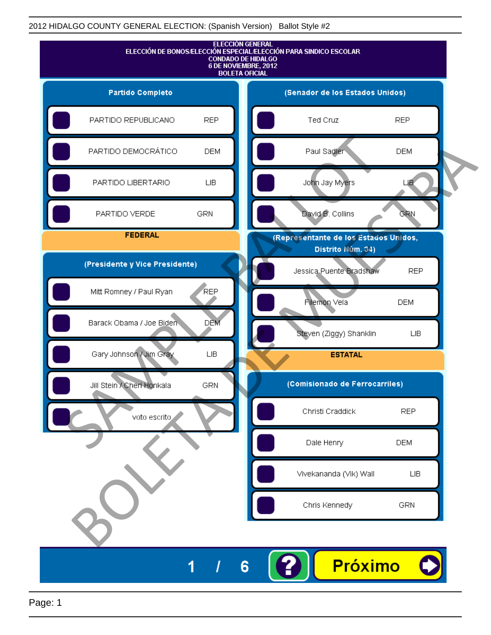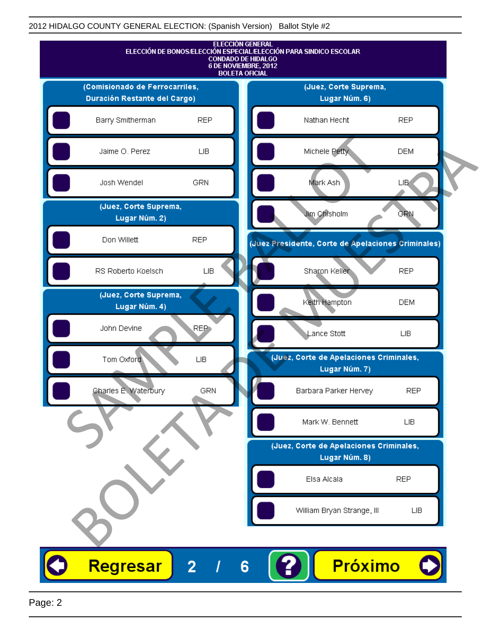|                                        |                  | <b>ELECCIÓN GENERAL</b><br>ELECCIÓN DE BONOS/ELECCIÓN ESPECIAL/ELECCIÓN PARA SINDICO ESCOLAR<br><b>CONDADO DE HIDALGO</b><br>6 DE NOVIEMBRE, 2012<br><b>BOLETA OFICIAL</b> |  |
|----------------------------------------|------------------|----------------------------------------------------------------------------------------------------------------------------------------------------------------------------|--|
| (Comisionado de Ferrocarriles,         |                  | (Juez, Corte Suprema,                                                                                                                                                      |  |
| Duración Restante del Cargo)           |                  | Lugar Núm. 6)                                                                                                                                                              |  |
| Barry Smitherman                       | <b>REP</b>       | Nathan Hecht<br><b>REP</b>                                                                                                                                                 |  |
| Jaime O. Perez                         | LIB              | Michele Petty<br><b>DEM</b>                                                                                                                                                |  |
| Josh Wendel                            | GRN              | Mark Ash<br><b>LIB</b>                                                                                                                                                     |  |
| (Juez, Corte Suprema,<br>Lugar Núm. 2) |                  | Jim Chisholm<br><b>GRN</b>                                                                                                                                                 |  |
| Don Willett                            | <b>REP</b>       | (Juez Presidente, Corte de Apelaciones Criminales)                                                                                                                         |  |
| RS Roberto Koelsch                     | ${\sf LB}$       | Sharon Keller<br><b>REP</b>                                                                                                                                                |  |
| (Juez, Corte Suprema,<br>Lugar Núm. 4) |                  | Keith Hampton<br><b>DEM</b>                                                                                                                                                |  |
| John Devine                            | REP <sub>1</sub> | Lance Stott<br>LIВ                                                                                                                                                         |  |
| Tom Oxford                             | ${\sf LB}$       | (Juéz, Corte de Apelaciones Criminales,<br>Lugar Núm. 7)                                                                                                                   |  |
| Charles E. Waterbury                   | <b>GRN</b>       | <b>REP</b><br>Barbara Parker Hervey                                                                                                                                        |  |
|                                        |                  | Mark W. Bennett<br>LIB.                                                                                                                                                    |  |
|                                        |                  | (Juez, Corte de Apelaciones Criminales,                                                                                                                                    |  |
|                                        |                  | Lugar Núm. 8)                                                                                                                                                              |  |
|                                        |                  | Elsa Alcala<br><b>REP</b>                                                                                                                                                  |  |
|                                        |                  | William Bryan Strange, III<br>LIВ                                                                                                                                          |  |
|                                        |                  |                                                                                                                                                                            |  |
| <b>Regresar</b>                        | $\overline{2}$   | <b>Próximo</b><br>6                                                                                                                                                        |  |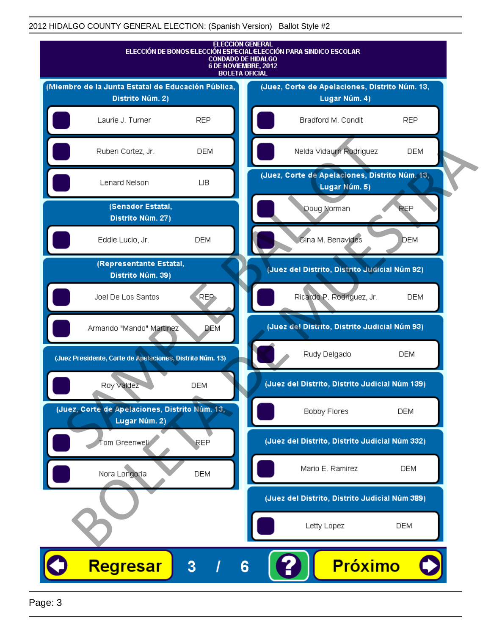

Page: 3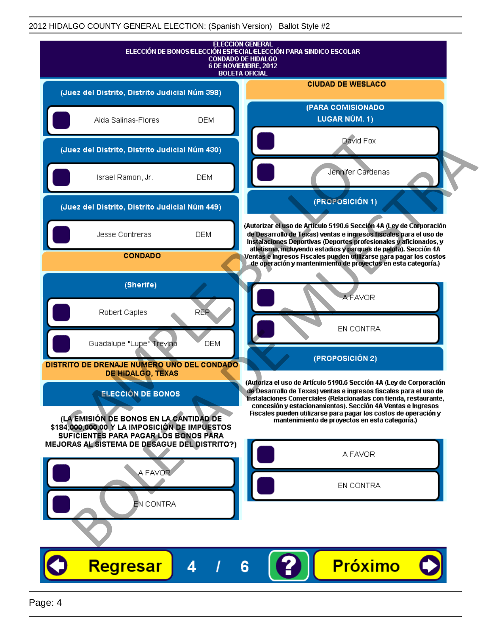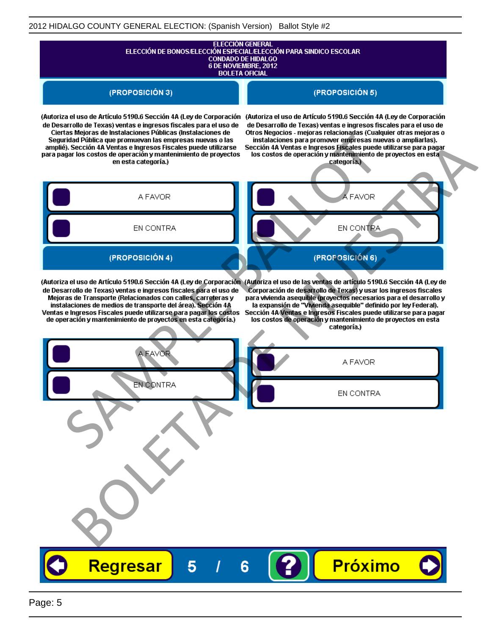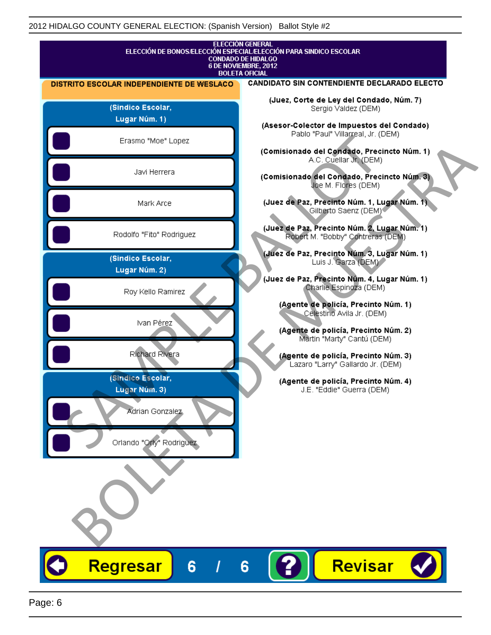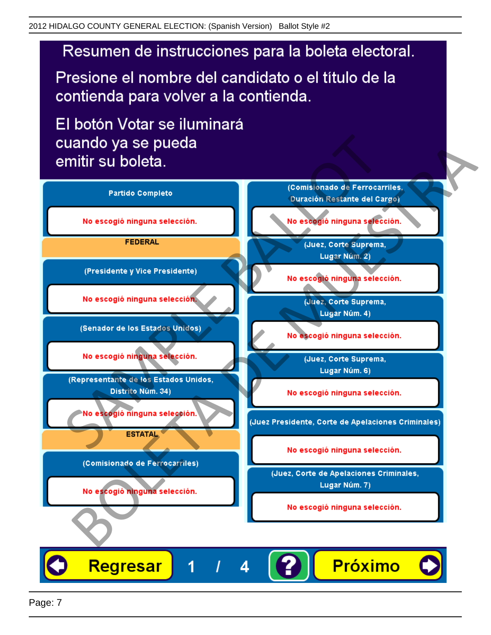## Resumen de instrucciones para la boleta electoral.

Presione el nombre del candidato o el título de la contienda para volver a la contienda.

El botón Votar se iluminará

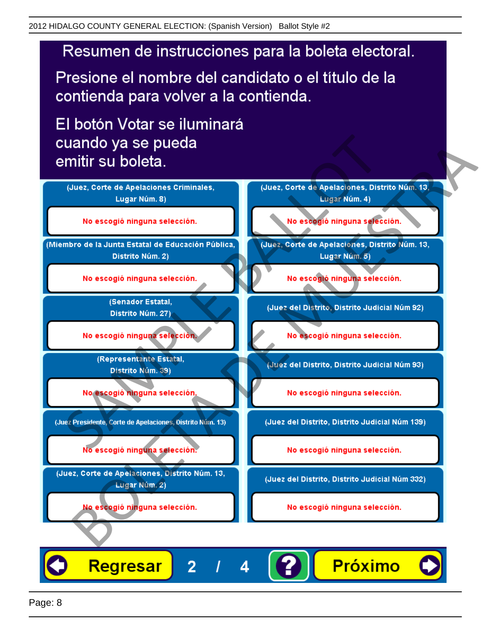## Resumen de instrucciones para la boleta electoral.

Presione el nombre del candidato o el título de la contienda para volver a la contienda.

El botón Votar se iluminará

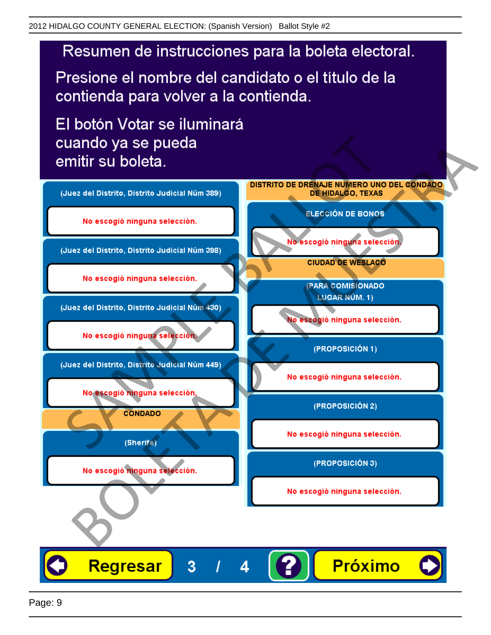

Presione el nombre del candidato o el título de la contienda para volver a la contienda.

El botón Votar se iluminará